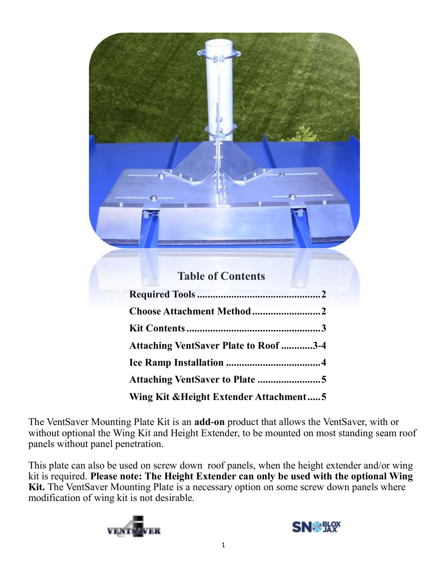| <b>Table of Contents</b>                     |  |
|----------------------------------------------|--|
|                                              |  |
| Choose Attachment Method2                    |  |
|                                              |  |
| <b>Attaching VentSaver Plate to Roof 3-4</b> |  |
|                                              |  |
| Attaching VentSaver to Plate 5               |  |
| Wing Kit & Height Extender Attachment5       |  |

The VentSaver Mounting Plate Kit is an **add-on** product that allows the VentSaver, with or without optional the Wing Kit and Height Extender, to be mounted on most standing seam roof panels without panel penetration.

This plate can also be used on screw down roof panels, when the height extender and/or wing kit is required. **Please note: The Height Extender can only be used with the optional Wing**  Kit. The VentSaver Mounting Plate is a necessary option on some screw down panels where modification of wing kit is not desirable.



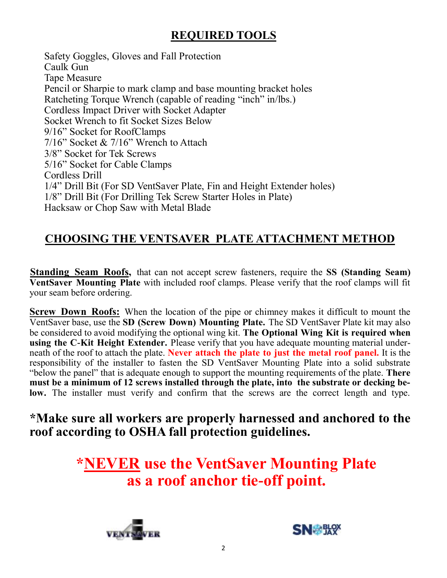# **REQUIRED TOOLS**

Safety Goggles, Gloves and Fall Protection Caulk Gun Tape Measure Pencil or Sharpie to mark clamp and base mounting bracket holes Ratcheting Torque Wrench (capable of reading "inch" in/lbs.) Cordless Impact Driver with Socket Adapter Socket Wrench to fit Socket Sizes Below 9/16" Socket for RoofClamps 7/16" Socket & 7/16" Wrench to Attach 3/8" Socket for Tek Screws 5/16" Socket for Cable Clamps Cordless Drill 1/4" Drill Bit (For SD VentSaver Plate, Fin and Height Extender holes) 1/8" Drill Bit (For Drilling Tek Screw Starter Holes in Plate) Hacksaw or Chop Saw with Metal Blade

#### **CHOOSING THE VENTSAVER PLATE ATTACHMENT METHOD**

**Standing Seam Roofs,** that can not accept screw fasteners, require the **SS (Standing Seam) VentSaver Mounting Plate** with included roof clamps. Please verify that the roof clamps will fit your seam before ordering.

**Screw Down Roofs:** When the location of the pipe or chimney makes it difficult to mount the VentSaver base, use the **SD (Screw Down) Mounting Plate.** The SD VentSaver Plate kit may also be considered to avoid modifying the optional wing kit. **The Optional Wing Kit is required when using the C-Kit Height Extender.** Please verify that you have adequate mounting material underneath of the roof to attach the plate. **Never attach the plate to just the metal roof panel.** It is the responsibility of the installer to fasten the SD VentSaver Mounting Plate into a solid substrate "below the panel" that is adequate enough to support the mounting requirements of the plate. **There must be a minimum of 12 screws installed through the plate, into the substrate or decking below.** The installer must verify and confirm that the screws are the correct length and type.

**\*Make sure all workers are properly harnessed and anchored to the roof according to OSHA fall protection guidelines.** 

> **\*NEVER use the VentSaver Mounting Plate as a roof anchor tie-off point.**



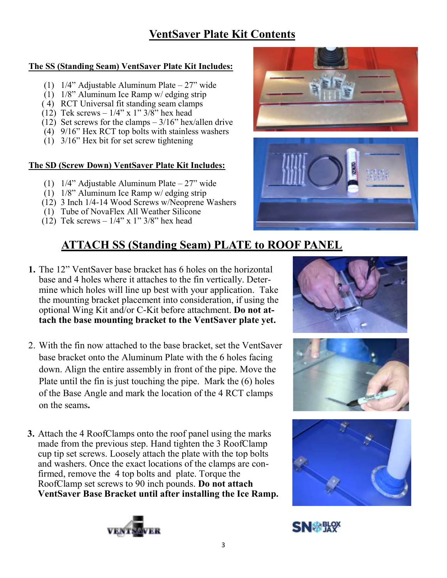#### **The SS (Standing Seam) VentSaver Plate Kit Includes:**

- (1) 1/4" Adjustable Aluminum Plate 27" wide
- (1) 1/8" Aluminum Ice Ramp w/ edging strip
- ( 4) RCT Universal fit standing seam clamps
- $(12)$  Tek screws  $1/4$ " x 1"  $3/8$ " hex head
- (12) Set screws for the clamps  $-3/16$ " hex/allen drive
- (4) 9/16" Hex RCT top bolts with stainless washers
- (1) 3/16" Hex bit for set screw tightening

#### **The SD (Screw Down) VentSaver Plate Kit Includes:**

- (1) 1/4" Adjustable Aluminum Plate 27" wide
- (1) 1/8" Aluminum Ice Ramp w/ edging strip
- (12) 3 Inch 1/4-14 Wood Screws w/Neoprene Washers
- (1) Tube of NovaFlex All Weather Silicone
- (12) Tek screws  $-1/4$ " x 1"  $3/8$ " hex head

# **ATTACH SS (Standing Seam) PLATE to ROOF PANEL**

- **1.** The 12" VentSaver base bracket has 6 holes on the horizontal base and 4 holes where it attaches to the fin vertically. Determine which holes will line up best with your application. Take the mounting bracket placement into consideration, if using the optional Wing Kit and/or C-Kit before attachment. **Do not attach the base mounting bracket to the VentSaver plate yet.**
- 2. With the fin now attached to the base bracket, set the VentSaver base bracket onto the Aluminum Plate with the 6 holes facing down. Align the entire assembly in front of the pipe. Move the Plate until the fin is just touching the pipe. Mark the (6) holes of the Base Angle and mark the location of the 4 RCT clamps on the seams**.**
- **3.** Attach the 4 RoofClamps onto the roof panel using the marks made from the previous step. Hand tighten the 3 RoofClamp cup tip set screws. Loosely attach the plate with the top bolts and washers. Once the exact locations of the clamps are confirmed, remove the 4 top bolts and plate. Torque the RoofClamp set screws to 90 inch pounds. **Do not attach VentSaver Base Bracket until after installing the Ice Ramp.**













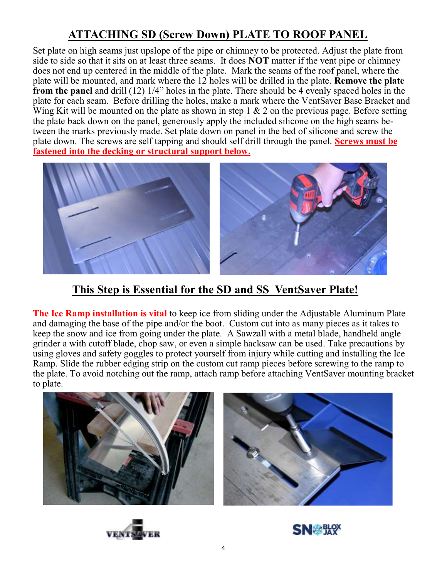# **ATTACHING SD (Screw Down) PLATE TO ROOF PANEL**

Set plate on high seams just upslope of the pipe or chimney to be protected. Adjust the plate from side to side so that it sits on at least three seams. It does **NOT** matter if the vent pipe or chimney does not end up centered in the middle of the plate. Mark the seams of the roof panel, where the plate will be mounted, and mark where the 12 holes will be drilled in the plate. **Remove the plate from the panel** and drill (12) 1/4" holes in the plate. There should be 4 evenly spaced holes in the plate for each seam. Before drilling the holes, make a mark where the VentSaver Base Bracket and Wing Kit will be mounted on the plate as shown in step  $1 \& 2$  on the previous page. Before setting the plate back down on the panel, generously apply the included silicone on the high seams between the marks previously made. Set plate down on panel in the bed of silicone and screw the plate down. The screws are self tapping and should self drill through the panel. **Screws must be fastened into the decking or structural support below.**



#### **This Step is Essential for the SD and SS VentSaver Plate!**

**The Ice Ramp installation is vital** to keep ice from sliding under the Adjustable Aluminum Plate and damaging the base of the pipe and/or the boot. Custom cut into as many pieces as it takes to keep the snow and ice from going under the plate. A Sawzall with a metal blade, handheld angle grinder a with cutoff blade, chop saw, or even a simple hacksaw can be used. Take precautions by using gloves and safety goggles to protect yourself from injury while cutting and installing the Ice Ramp. Slide the rubber edging strip on the custom cut ramp pieces before screwing to the ramp to the plate. To avoid notching out the ramp, attach ramp before attaching VentSaver mounting bracket to plate.